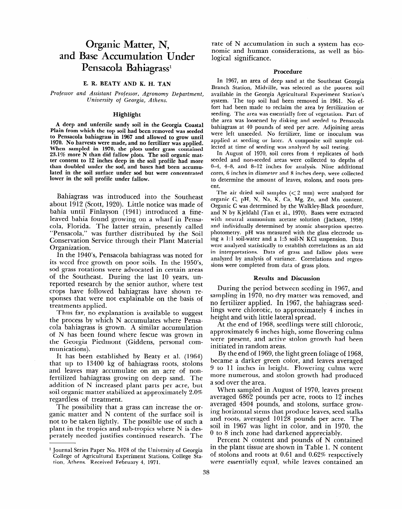# **Organic Matter, N, and Base Accumulation Under**  Pensacola Bahiagrass<sup>1</sup>

### **E. R. BEATY AND K. H. TAN**

*Professor and Assistant Professor, Agronomy Department, University of Georgia, Athens.* 

#### Highlight

A deep and unfertile sandy soil in the Georgia Coastal **Plain from which the top soil had been removed was seeded to Pensacola bahiagrass in 1967 and allowed to grow until 1970. No harvests were made, and no fertilizer was applied. When sampled in 1970, the plots under grass contained 23.1% more N than did fallow plots. The soil organic matter content to 12 inches deep in the soil profile had more than doubled under the sod, and bases had been accumulated in the soil surface under sod but were concentrated lower in the soil profile under fallow.** 

Bahiagrass was introduced into the Southeast about 1912 (Scott, 1920). Little notice was made of bahia until Finlayson (1941) introduced a fineleaved bahia found growing on a wharf in Pensacola, Florida. The latter strain, presently called "Pensacola," was further distributed by the Soil Conservation Service through their Plant Material Organization.

In the 1940's, Pensacola bahiagrass was noted for its weed free growth on poor soils. In the 1950's, sod grass rotations were advocated in certain areas of the Southeast. During the last 10 years, unreported research by the senior author, where test crops have followed bahiagrass have shown responses that were not explainable on the basis of treatments applied. treatments applied.<br>Thus far, no explanation is available to suggest

the process by which N accumulates where Pensacola bahiagrass by which is accumulated where I cho of N has been found when found accumulation of ty has been found where resear was grown in the Georgia Piedmont (Giddens, personal com-<br>munications). 1. It has been established by Beaty et al. (1964)<br>Belief by Beaty et al. (1964)

that up to 13400 kg of ball up to the 1300 kg of band in the 1300 kg of band in the 1300 kg of band in the 1300 kg of band in the 1300 kg of band in the 1300 kg of band in the 1300 kg of band in the 1300 kg of the 1300 kg that up to  $13400 \text{ kg}$  of bahiagrass roots, stolons and leaves may accumulate on an acre of nonfertilized bahiagrass growing on deep sand. The addition of N increased plant parts per acre, but soil organic matter stabilized at approximately  $2.0\%$ regardless of treatment.

The possibility that a grass can increase the organic matter and  $N$  content of the surface soil is not to be taken lightly. The possible use of such a plant in the tropics and sub-tropics where N is des-<br>perately needed justifies continued research. The

rate of N accumulation in such a system has economic and human considerations, as well as biological significance.

#### Procedure

In 1967, an area of deep sand at the Southeast Georgia Branch Station, Midville, was selected as the poorest soil available in the Georgia Agricultural Experiment Station's system. The top soil had been removed in 1961. No effort had been made to reclaim the area by fertilization or seeding. The area was essentially free of vegetation. Part of the area was loosened by disking and seeded to Pensacola bahiagrass at 40 pounds of seed per acre. Adjoining areas were left unseeded. No fertilizer, lime or inoculum was applied at seeding or later. A composite soil sample collected at time of seeding was analyzed by soil testing.

In August of 1970, soil cores from 4 replicates of both seeded and non-seeded areas were collected to depths of O-4, 4-8, and 8-12 inches for analysis. Nine additional cores, 6 inches in diameter and 8 inches deep, were collected to determine the amount of leaves, stolons, and roots present.

The air dried soil samples  $\langle$  < 2 mm) were analyzed for organic C, pH, N, Na, K, Ca, Mg, Zn, and Mn content. Organic C was determined by the Walkley-Black procedure, and N by Kjeldahl (Tan et al., 1970). Bases were extracted with neutral ammonium acetate solution (Jackson, 1958) and individually determined by atomic absorption spectrophotometry. pH was measured with the glass electrode usphotometry. Pri was measured with the glass electrone using a 1:1 soil-water and a 1:5 soil-N KCl suspension. Data<br>were analyzed statistically to establish correlations as an aid mere unargeen statistically to establish correlations as an and an interpretations. Data or grass and ranow plots were analyzed by analysis of variance. Correlations and regressions were completed from data of grass plots.

#### **Results and Discussion**

**During** the period between seeding in 1967, and sampling in 1970, no dry matter was removed, and no fertilizer applied. In 1967, the bahiagrass seedlio icrement application in 1907, the bannagrass secuheight and children, to approximate at the end of 1968, seedlings were still changed.

at the end of 1500, securings were still emotione approximately 6 inches high, some flowering culms were present, and active stolon growth had been<br>initiated in random areas.  $B_{\text{tot}}$  the light green folial foliage of  $\frac{1}{2}$  foliage of 1968, the light green foliage of 1968, the light green foliage of 1968, the light green foliage of 1968, the light green foliage of 1968, the light green fo

by the end of 1505, the nght green fonage of 1500 became a darker green color, and leaves averaged 9 to 11 inches in height. Flowering culms were more numerous, and stolon growth had produced a sod over the area.

When sampled in August of 1970, leaves present averaged 6862 pounds per acre, roots to 12 inches averaged 4504 pounds, and stolons, surface growing horizontal stems that produce leaves, seed stalks and roots, averaged 10128 pounds per acre. The soil in 1967 was light in color, and in 1970, the 0 to 8 inch zone had darkened appreciably.

Percent N content and pounds of N contained in the plant tissue are shown in Table 1. N content of stolons and roots at 0.61 and 0.62% respectively were essentially equal, while leaves contained an<br>38

l Journal Series Paper No. 1078 of the University of Georgia <sup>1</sup> Journal Series Paper No. 1078 of the University of Georgia College of Agricultural Experiment Stations, College Station, Athens. Received February 4, 1971.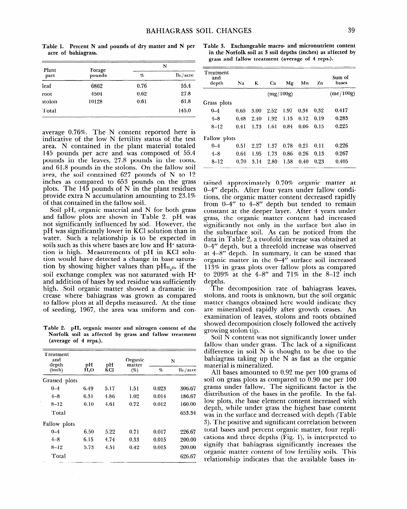**Table 1. Percent N and pounds of dry matter and N per acre of bahiagrass.** 

| Forage<br>pounds | N               |          |  |
|------------------|-----------------|----------|--|
|                  | $\mathcal{D}_o$ | lb./acre |  |
| 6862             | 0.76            | 55.4     |  |
| 4504             | 0.62            | 27.8     |  |
| 10128            | 0.61            | 61.8     |  |
|                  |                 | 145.0    |  |
|                  |                 |          |  |

average 0.76%. The N content reported here is indicative of the low N fertility status of the test area. N contained in the plant material totaled 145 pounds per acre and was composed of 55.4 pounds in the leaves, 27.8 pounds in the roots, and 61.8 pounds in the stolons. On the fallow soil area, the soil contained 627 pounds of N to 12 inches as compared to 653 pounds on the grass plots. The  $145$  pounds of N in the plant residues provide extra N accumulation amounting to 23.1% of that contained in the fallow soil.

Soil pH, organic material and N for both grass and fallow plots are shown in Table 2. pH was not significantly influenced by sod. However, the pH was significantly lower in KC1 solution than in water. Such a relationship is to be expected in soils such as this where bases are low and H<sup>+</sup> saturation is high. Measurements of pH in KC1 solution would have detected a change in base saturation by showing higher values than  $pH_{H,0}$ , if the soil exchange complex was not saturated with H+ and addition of bases by sod residue was sufficiently high. Soil organic matter showed a dramatic increase where bahiagrass was grown as compared to fallow plots at all depths measured. At the time of seeding, 1967, the area was uniform and con-

**Table 2. pH, organic matter and nitrogen content of the Norfolk soil as affected by grass and fallow treatment (average of 4 reps.).** 

| Treatment<br>and<br>depth<br>(inch) | рH<br>рH<br>H.O<br>KCl |              | Organic | N                      |        |
|-------------------------------------|------------------------|--------------|---------|------------------------|--------|
|                                     |                        | matter<br>(% | %       | 1 <sub>b</sub> / arcre |        |
| Grassed plots                       |                        |              |         |                        |        |
| $0 - 4$                             | 6.49                   | 5.17         | 1.51    | 0.023                  | 306.67 |
| $4 - 8$                             | 6.31                   | 4.86         | 1.02    | 0.014                  | 186.67 |
| $8 - 12$                            | 6.10                   | 4.61         | 0.72    | 0.012                  | 160.00 |
| Total                               |                        |              |         |                        | 653.34 |
| Fallow plots                        |                        |              |         |                        |        |
| $0 - 4$                             | 6.50                   | 5.22         | 0.71    | 0.017                  | 226.67 |
| $4 - 8$                             | 6.15                   | 4.74         | 0.33    | 0.015                  | 200.00 |
| $8 - 12$                            | 5.73                   | 4.51         | 0.42    | 0.015                  | 200.00 |
| Total                               |                        |              |         |                        | 626.67 |

**Table 3. Exchangeable macro- and micronutrient content in the Norfolk soil at 3 soil depths (inches) as affected by grass and fallow treatment (average of 4 reps.).** 

| Treatment<br>and<br>depth | Na        | K    | Сa   | Mg   | Mn   | Zn   | Sum of<br>bases |
|---------------------------|-----------|------|------|------|------|------|-----------------|
|                           | (mg/100g) |      |      |      |      |      | (me/100g)       |
| Grass plots               |           |      |      |      |      |      |                 |
| $0 - 4$                   | 0.65      | 3.00 | 2.52 | 1.97 | 0.34 | 0.32 | 0.417           |
| $4 - 8$                   | 0.48      | 2.40 | 1.92 | 1.15 | 0.12 | 0.19 | 0.285           |
| $8 - 12$                  | 0.41      | 1.73 | 1.61 | 0.84 | 0.06 | 0.15 | 0.225           |
| <b>Fallow</b> plots       |           |      |      |      |      |      |                 |
| $0 - 4$                   | 0.51      | 2.27 | 1.37 | 0.78 | 0.21 | 0.11 | 0.226           |
| $4 - 8$                   | 0.64      | 1.95 | 1.73 | 0.86 | 0.26 | 0.13 | 0.267           |
| $8 - 12$                  | 0.70      | 3.14 | 2.80 | 1.58 | 0.40 | 0.23 | 0.405           |

tained approximately 0.70% organic matter at O-4" depth. After four years under fallow conditions, the organic matter content decreased rapidly from  $0-4$ " to  $4-8$ " depth but tended to remain constant at the deeper layer. After 4 years under grass, the organic matter content had increased significantly not only in the surface but also in the subsurface soil. As can be noticed from the data in Table 2, a twofold increase was obtained at O-4" depth, but a threefold increase was observed at 4-8" depth. In summary, it can be stated that organic matter in the O-4" surface soil increased 113% in grass plots over fallow plots as compared to 209% at the  $4-8$ " and 71% in the  $8-12$  inch depths.

The decomposition rate of bahiagrass leaves, stolons, and roots is unknown, but the soil organic matter changes obtained here would indicate they are mineralized rapidly after growth ceases. An examination of leaves, stolons and roots obtained showed decomposition closely followed the actively growing stolon tip.

Soil N content was not significantly lower under fallow than under grass. The lack of a significant difference in soil N is thought to be due to the bahiagrass taking up the N as fast as the organic material is mineralized.

All bases amounted to 0.92 me per 100 grams of soil on grass plots as compared to 0.90 me per 100 grams under fallow. The significant factor is the distribution of the bases in the profile. In the fallow plots, the base element content increased with depth, while under grass the highest base content was in the surface and decreased with depth (Table 3). The positive and significant correlation between total bases and percent organic matter, four replications and three depths (Fig. l), is interpreted to signify that bahiagrass significantly increases the organic matter content of low fertility soils. This relationship indicates that the available bases in-